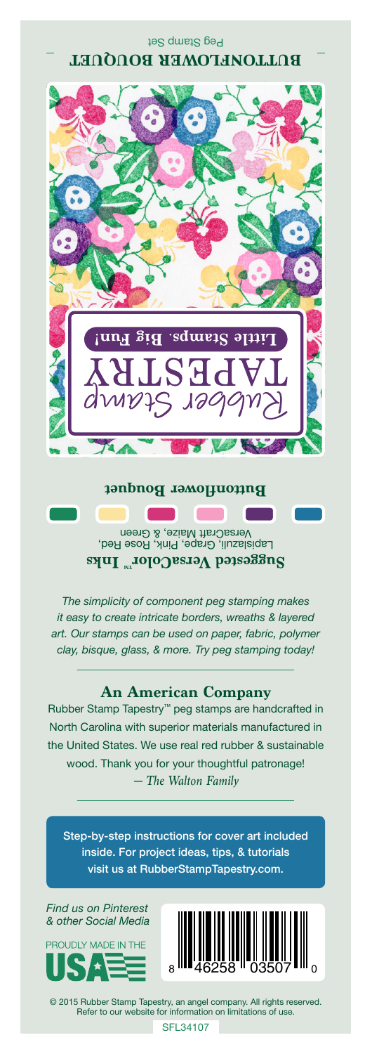

## Lapislazuli, Grape, Pink, Rose Red, VersaCraft Maize, & Green **Suggested VersaColorTM Inks**

*The simplicity of component peg stamping makes it easy to create intricate borders, wreaths & layered art. Our stamps can be used on paper, fabric, polymer clay, bisque, glass, & more. Try peg stamping today!*

## **An American Company**

*— The Walton Family* Rubber Stamp Tapestry™ peg stamps are handcrafted in North Carolina with superior materials manufactured in the United States. We use real red rubber & sustainable wood. Thank you for your thoughtful patronage!

Step-by-step instructions for cover art included inside. For project ideas, tips, & tutorials visit us at RubberStampTapestry.com.

*Find us on Pinterest & other Social Media*





© 2015 Rubber Stamp Tapestry, an angel company. All rights reserved. Refer to our website for information on limitations of use.